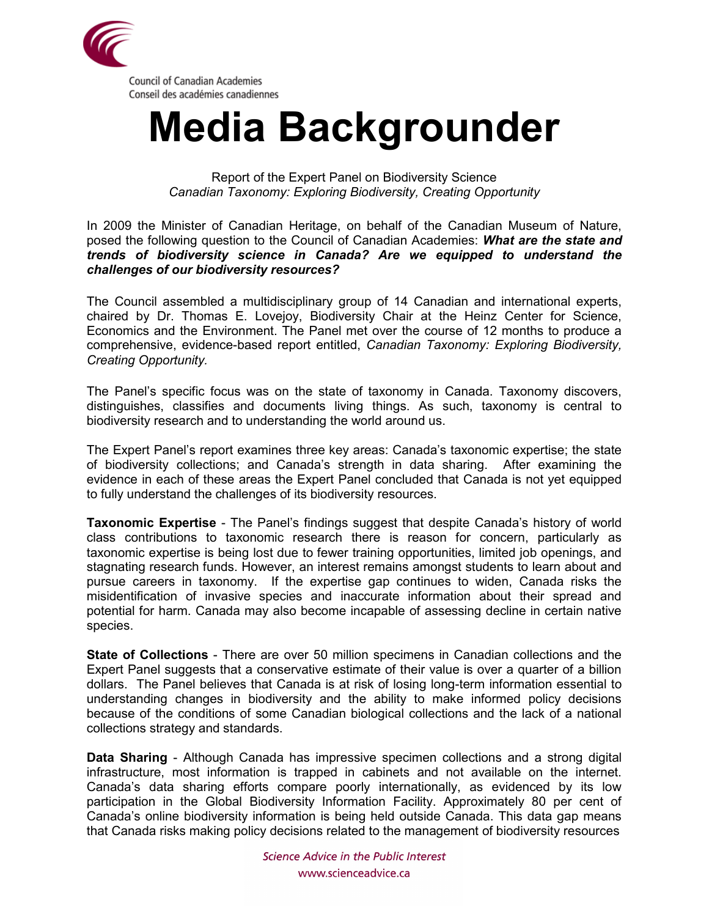

## **Media Backgrounder**

Report of the Expert Panel on Biodiversity Science *Canadian Taxonomy: Exploring Biodiversity, Creating Opportunity*

In 2009 the Minister of Canadian Heritage, on behalf of the Canadian Museum of Nature, posed the following question to the Council of Canadian Academies: *What are the state and trends of biodiversity science in Canada? Are we equipped to understand the challenges of our biodiversity resources?*

The Council assembled a multidisciplinary group of 14 Canadian and international experts, chaired by Dr. Thomas E. Lovejoy, Biodiversity Chair at the Heinz Center for Science, Economics and the Environment. The Panel met over the course of 12 months to produce a comprehensive, evidence-based report entitled, *Canadian Taxonomy: Exploring Biodiversity, Creating Opportunity.*

The Panel's specific focus was on the state of taxonomy in Canada. Taxonomy discovers, distinguishes, classifies and documents living things. As such, taxonomy is central to biodiversity research and to understanding the world around us.

The Expert Panel's report examines three key areas: Canada's taxonomic expertise; the state of biodiversity collections; and Canada's strength in data sharing. After examining the evidence in each of these areas the Expert Panel concluded that Canada is not yet equipped to fully understand the challenges of its biodiversity resources.

**Taxonomic Expertise** - The Panel's findings suggest that despite Canada's history of world class contributions to taxonomic research there is reason for concern, particularly as taxonomic expertise is being lost due to fewer training opportunities, limited job openings, and stagnating research funds. However, an interest remains amongst students to learn about and pursue careers in taxonomy. If the expertise gap continues to widen, Canada risks the misidentification of invasive species and inaccurate information about their spread and potential for harm. Canada may also become incapable of assessing decline in certain native species.

**State of Collections** - There are over 50 million specimens in Canadian collections and the Expert Panel suggests that a conservative estimate of their value is over a quarter of a billion dollars. The Panel believes that Canada is at risk of losing long-term information essential to understanding changes in biodiversity and the ability to make informed policy decisions because of the conditions of some Canadian biological collections and the lack of a national collections strategy and standards.

**Data Sharing** - Although Canada has impressive specimen collections and a strong digital infrastructure, most information is trapped in cabinets and not available on the internet. Canada's data sharing efforts compare poorly internationally, as evidenced by its low participation in the Global Biodiversity Information Facility. Approximately 80 per cent of Canada's online biodiversity information is being held outside Canada. This data gap means that Canada risks making policy decisions related to the management of biodiversity resources

> Science Advice in the Public Interest www.scienceadvice.ca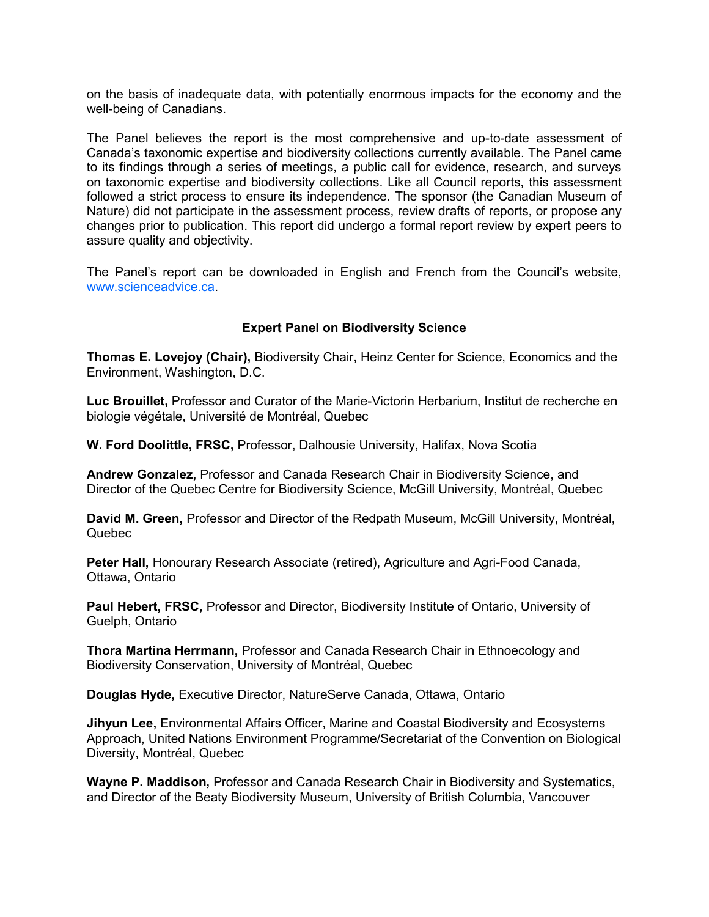on the basis of inadequate data, with potentially enormous impacts for the economy and the well-being of Canadians.

The Panel believes the report is the most comprehensive and up-to-date assessment of Canada's taxonomic expertise and biodiversity collections currently available. The Panel came to its findings through a series of meetings, a public call for evidence, research, and surveys on taxonomic expertise and biodiversity collections. Like all Council reports, this assessment followed a strict process to ensure its independence. The sponsor (the Canadian Museum of Nature) did not participate in the assessment process, review drafts of reports, or propose any changes prior to publication. This report did undergo a formal report review by expert peers to assure quality and objectivity.

The Panel's report can be downloaded in English and French from the Council's website, [www.scienceadvice.ca.](http://www.scienceadvice.ca)

## **Expert Panel on Biodiversity Science**

**Thomas E. Lovejoy (Chair),** Biodiversity Chair, Heinz Center for Science, Economics and the Environment, Washington, D.C.

**Luc Brouillet,** Professor and Curator of the Marie-Victorin Herbarium, Institut de recherche en biologie végétale, Université de Montréal, Quebec

**W. Ford Doolittle, FRSC,** Professor, Dalhousie University, Halifax, Nova Scotia

**Andrew Gonzalez,** Professor and Canada Research Chair in Biodiversity Science, and Director of the Quebec Centre for Biodiversity Science, McGill University, Montréal, Quebec

**David M. Green,** Professor and Director of the Redpath Museum, McGill University, Montréal, Quebec

**Peter Hall,** Honourary Research Associate (retired), Agriculture and Agri-Food Canada, Ottawa, Ontario

**Paul Hebert, FRSC,** Professor and Director, Biodiversity Institute of Ontario, University of Guelph, Ontario

**Thora Martina Herrmann,** Professor and Canada Research Chair in Ethnoecology and Biodiversity Conservation, University of Montréal, Quebec

**Douglas Hyde,** Executive Director, NatureServe Canada, Ottawa, Ontario

**Jihyun Lee,** Environmental Affairs Officer, Marine and Coastal Biodiversity and Ecosystems Approach, United Nations Environment Programme/Secretariat of the Convention on Biological Diversity, Montréal, Quebec

**Wayne P. Maddison,** Professor and Canada Research Chair in Biodiversity and Systematics, and Director of the Beaty Biodiversity Museum, University of British Columbia, Vancouver